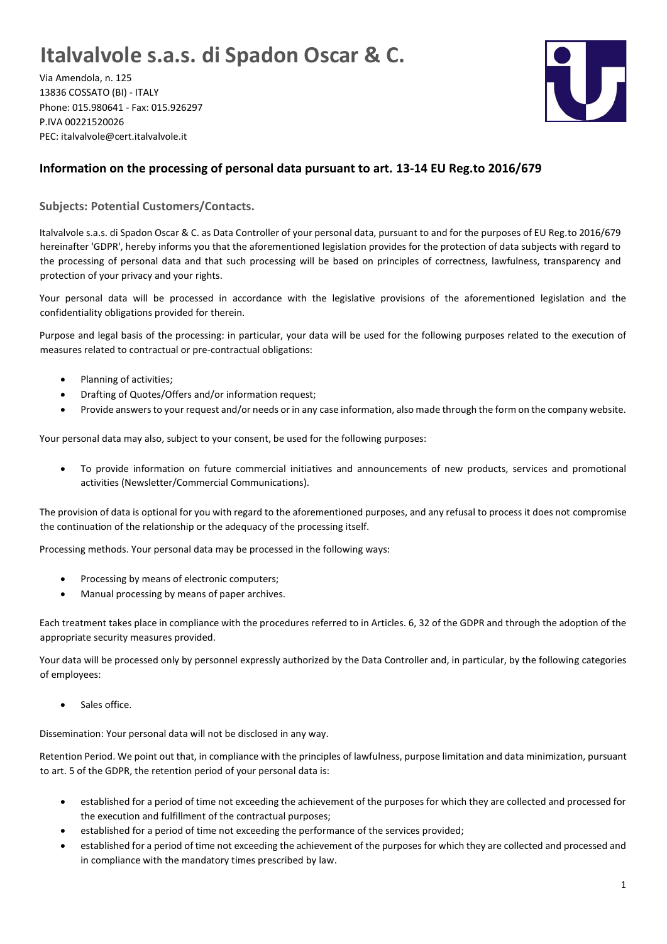## **Italvalvole s.a.s. di Spadon Oscar & C.**

Via Amendola, n. 125 13836 COSSATO (BI) - ITALY Phone: 015.980641 - Fax: 015.926297 P.IVA 00221520026 PEC: italvalvole@cert.italvalvole.it



## **Information on the processing of personal data pursuant to art. 13-14 EU Reg.to 2016/679**

**Subjects: Potential Customers/Contacts.**

Italvalvole s.a.s. di Spadon Oscar & C. as Data Controller of your personal data, pursuant to and for the purposes of EU Reg.to 2016/679 hereinafter 'GDPR', hereby informs you that the aforementioned legislation provides for the protection of data subjects with regard to the processing of personal data and that such processing will be based on principles of correctness, lawfulness, transparency and protection of your privacy and your rights.

Your personal data will be processed in accordance with the legislative provisions of the aforementioned legislation and the confidentiality obligations provided for therein.

Purpose and legal basis of the processing: in particular, your data will be used for the following purposes related to the execution of measures related to contractual or pre-contractual obligations:

- Planning of activities;
- Drafting of Quotes/Offers and/or information request;
- Provide answers to your request and/or needs or in any case information, also made through the form on the company website.

Your personal data may also, subject to your consent, be used for the following purposes:

• To provide information on future commercial initiatives and announcements of new products, services and promotional activities (Newsletter/Commercial Communications).

The provision of data is optional for you with regard to the aforementioned purposes, and any refusal to process it does not compromise the continuation of the relationship or the adequacy of the processing itself.

Processing methods. Your personal data may be processed in the following ways:

- Processing by means of electronic computers;
- Manual processing by means of paper archives.

Each treatment takes place in compliance with the procedures referred to in Articles. 6, 32 of the GDPR and through the adoption of the appropriate security measures provided.

Your data will be processed only by personnel expressly authorized by the Data Controller and, in particular, by the following categories of employees:

Sales office.

Dissemination: Your personal data will not be disclosed in any way.

Retention Period. We point out that, in compliance with the principles of lawfulness, purpose limitation and data minimization, pursuant to art. 5 of the GDPR, the retention period of your personal data is:

- established for a period of time not exceeding the achievement of the purposes for which they are collected and processed for the execution and fulfillment of the contractual purposes;
- established for a period of time not exceeding the performance of the services provided;
- established for a period of time not exceeding the achievement of the purposes for which they are collected and processed and in compliance with the mandatory times prescribed by law.